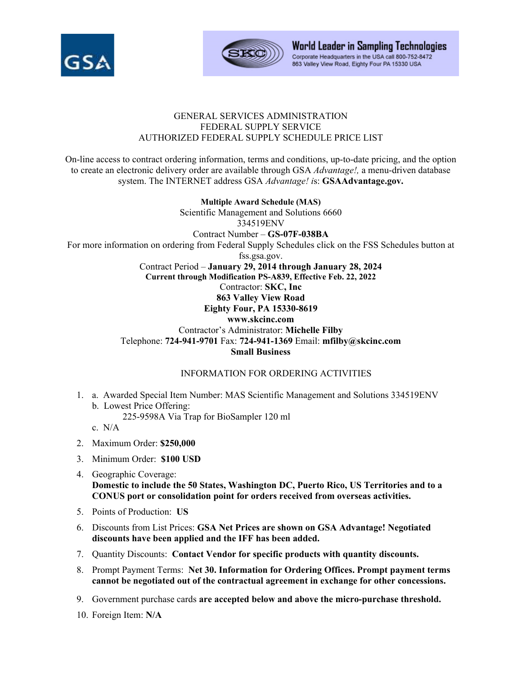



World Leader in Sampling Technologies Corporate Headquarters in the USA call 800-752-8472 863 Valley View Road, Eighty Four PA 15330 USA

## GENERAL SERVICES ADMINISTRATION FEDERAL SUPPLY SERVICE AUTHORIZED FEDERAL SUPPLY SCHEDULE PRICE LIST

On-line access to contract ordering information, terms and conditions, up-to-date pricing, and the option to create an electronic delivery order are available through GSA *Advantage!,* a menu-driven database system. The INTERNET address GSA *Advantage! i*s: **GSAAdvantage.gov.** 

**Multiple Award Schedule (MAS)**  Scientific Management and Solutions 6660 334519ENV Contract Number – **GS-07F-038BA**  For more information on ordering from Federal Supply Schedules click on the FSS Schedules button at fss.gsa.gov. Contract Period – **January 29, 2014 through January 28, 2024 Current through Modification PS-A839, Effective Feb. 22, 2022**  Contractor: **SKC, Inc 863 Valley View Road Eighty Four, PA 15330-8619 www.skcinc.com**  Contractor's Administrator: **Michelle Filby**  Telephone: **724-941-9701** Fax: **724-941-1369** Email: **mfilby@skcinc.com Small Business** 

## INFORMATION FOR ORDERING ACTIVITIES

1. a. Awarded Special Item Number: MAS Scientific Management and Solutions 334519ENV b. Lowest Price Offering:

225-9598A Via Trap for BioSampler 120 ml

- c. N/A
- 2. Maximum Order: **\$250,000**
- 3. Minimum Order: **\$100 USD**
- 4. Geographic Coverage: **Domestic to include the 50 States, Washington DC, Puerto Rico, US Territories and to a CONUS port or consolidation point for orders received from overseas activities.**
- 5. Points of Production: **US**
- 6. Discounts from List Prices: **GSA Net Prices are shown on GSA Advantage! Negotiated discounts have been applied and the IFF has been added.**
- 7. Quantity Discounts: **Contact Vendor for specific products with quantity discounts.**
- 8. Prompt Payment Terms: **Net 30. Information for Ordering Offices. Prompt payment terms cannot be negotiated out of the contractual agreement in exchange for other concessions.**
- 9. Government purchase cards **are accepted below and above the micro-purchase threshold.**
- 10. Foreign Item: **N/A**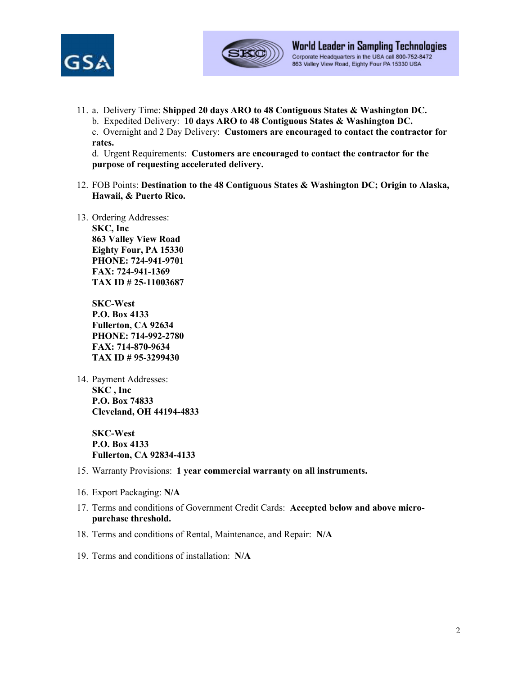



11. a. Delivery Time: **Shipped 20 days ARO to 48 Contiguous States & Washington DC.**  b. Expedited Delivery: **10 days ARO to 48 Contiguous States & Washington DC.** 

c. Overnight and 2 Day Delivery: **Customers are encouraged to contact the contractor for rates.** 

d. Urgent Requirements: **Customers are encouraged to contact the contractor for the purpose of requesting accelerated delivery.**

- 12. FOB Points: **Destination to the 48 Contiguous States & Washington DC; Origin to Alaska, Hawaii, & Puerto Rico.**
- 13. Ordering Addresses: **SKC, Inc 863 Valley View Road Eighty Four, PA 15330 PHONE: 724-941-9701 FAX: 724-941-1369 TAX ID # 25-11003687**

**SKC-West P.O. Box 4133 Fullerton, CA 92634 PHONE: 714-992-2780 FAX: 714-870-9634 TAX ID # 95-3299430** 

14. Payment Addresses: **SKC , Inc P.O. Box 74833 Cleveland, OH 44194-4833** 

> **SKC-West P.O. Box 4133 Fullerton, CA 92834-4133**

- 15. Warranty Provisions: **1 year commercial warranty on all instruments.**
- 16. Export Packaging: **N/A**
- 17. Terms and conditions of Government Credit Cards: **Accepted below and above micropurchase threshold.**
- 18. Terms and conditions of Rental, Maintenance, and Repair: **N/A**

19. Terms and conditions of installation: **N/A**